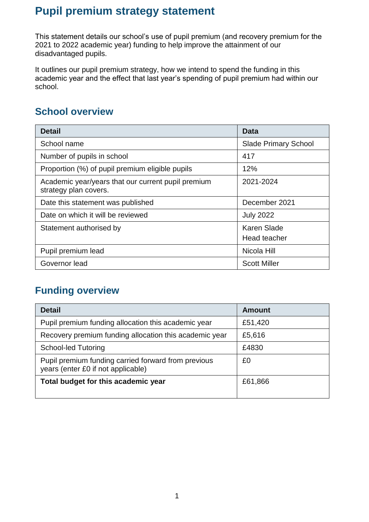# **Pupil premium strategy statement**

This statement details our school's use of pupil premium (and recovery premium for the 2021 to 2022 academic year) funding to help improve the attainment of our disadvantaged pupils.

It outlines our pupil premium strategy, how we intend to spend the funding in this academic year and the effect that last year's spending of pupil premium had within our school.

### **School overview**

| <b>Detail</b>                                                               | Data                        |
|-----------------------------------------------------------------------------|-----------------------------|
| School name                                                                 | <b>Slade Primary School</b> |
| Number of pupils in school                                                  | 417                         |
| Proportion (%) of pupil premium eligible pupils                             | 12%                         |
| Academic year/years that our current pupil premium<br>strategy plan covers. | 2021-2024                   |
| Date this statement was published                                           | December 2021               |
| Date on which it will be reviewed                                           | <b>July 2022</b>            |
| Statement authorised by                                                     | Karen Slade                 |
|                                                                             | Head teacher                |
| Pupil premium lead                                                          | Nicola Hill                 |
| Governor lead                                                               | <b>Scott Miller</b>         |

## **Funding overview**

| <b>Detail</b>                                                                             | <b>Amount</b> |
|-------------------------------------------------------------------------------------------|---------------|
| Pupil premium funding allocation this academic year                                       | £51,420       |
| Recovery premium funding allocation this academic year                                    | £5,616        |
| <b>School-led Tutoring</b>                                                                | £4830         |
| Pupil premium funding carried forward from previous<br>years (enter £0 if not applicable) | £0            |
| Total budget for this academic year                                                       | £61,866       |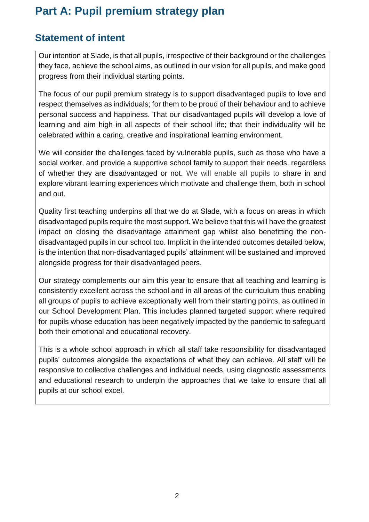# **Part A: Pupil premium strategy plan**

### **Statement of intent**

Our intention at Slade, is that all pupils, irrespective of their background or the challenges they face, achieve the school aims, as outlined in our vision for all pupils, and make good progress from their individual starting points.

The focus of our pupil premium strategy is to support disadvantaged pupils to love and respect themselves as individuals; for them to be proud of their behaviour and to achieve personal success and happiness. That our disadvantaged pupils will develop a love of learning and aim high in all aspects of their school life; that their individuality will be celebrated within a caring, creative and inspirational learning environment.

We will consider the challenges faced by vulnerable pupils, such as those who have a social worker, and provide a supportive school family to support their needs, regardless of whether they are disadvantaged or not. We will enable all pupils to share in and explore vibrant learning experiences which motivate and challenge them, both in school and out.

Quality first teaching underpins all that we do at Slade, with a focus on areas in which disadvantaged pupils require the most support. We believe that this will have the greatest impact on closing the disadvantage attainment gap whilst also benefitting the nondisadvantaged pupils in our school too. Implicit in the intended outcomes detailed below, is the intention that non-disadvantaged pupils' attainment will be sustained and improved alongside progress for their disadvantaged peers.

Our strategy complements our aim this year to ensure that all teaching and learning is consistently excellent across the school and in all areas of the curriculum thus enabling all groups of pupils to achieve exceptionally well from their starting points, as outlined in our School Development Plan. This includes planned targeted support where required for pupils whose education has been negatively impacted by the pandemic to safeguard both their emotional and educational recovery.

This is a whole school approach in which all staff take responsibility for disadvantaged pupils' outcomes alongside the expectations of what they can achieve. All staff will be responsive to collective challenges and individual needs, using diagnostic assessments and educational research to underpin the approaches that we take to ensure that all pupils at our school excel.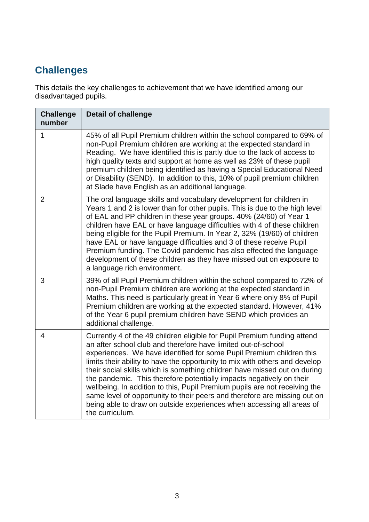# **Challenges**

This details the key challenges to achievement that we have identified among our disadvantaged pupils.

| <b>Challenge</b><br>number | <b>Detail of challenge</b>                                                                                                                                                                                                                                                                                                                                                                                                                                                                                                                                                                                                                                                                                   |
|----------------------------|--------------------------------------------------------------------------------------------------------------------------------------------------------------------------------------------------------------------------------------------------------------------------------------------------------------------------------------------------------------------------------------------------------------------------------------------------------------------------------------------------------------------------------------------------------------------------------------------------------------------------------------------------------------------------------------------------------------|
| $\mathbf{1}$               | 45% of all Pupil Premium children within the school compared to 69% of<br>non-Pupil Premium children are working at the expected standard in<br>Reading. We have identified this is partly due to the lack of access to<br>high quality texts and support at home as well as 23% of these pupil<br>premium children being identified as having a Special Educational Need<br>or Disability (SEND). In addition to this, 10% of pupil premium children<br>at Slade have English as an additional language.                                                                                                                                                                                                    |
| $\overline{2}$             | The oral language skills and vocabulary development for children in<br>Years 1 and 2 is lower than for other pupils. This is due to the high level<br>of EAL and PP children in these year groups. 40% (24/60) of Year 1<br>children have EAL or have language difficulties with 4 of these children<br>being eligible for the Pupil Premium. In Year 2, 32% (19/60) of children<br>have EAL or have language difficulties and 3 of these receive Pupil<br>Premium funding. The Covid pandemic has also effected the language<br>development of these children as they have missed out on exposure to<br>a language rich environment.                                                                        |
| 3                          | 39% of all Pupil Premium children within the school compared to 72% of<br>non-Pupil Premium children are working at the expected standard in<br>Maths. This need is particularly great in Year 6 where only 8% of Pupil<br>Premium children are working at the expected standard. However, 41%<br>of the Year 6 pupil premium children have SEND which provides an<br>additional challenge.                                                                                                                                                                                                                                                                                                                  |
| $\overline{4}$             | Currently 4 of the 49 children eligible for Pupil Premium funding attend<br>an after school club and therefore have limited out-of-school<br>experiences. We have identified for some Pupil Premium children this<br>limits their ability to have the opportunity to mix with others and develop<br>their social skills which is something children have missed out on during<br>the pandemic. This therefore potentially impacts negatively on their<br>wellbeing. In addition to this, Pupil Premium pupils are not receiving the<br>same level of opportunity to their peers and therefore are missing out on<br>being able to draw on outside experiences when accessing all areas of<br>the curriculum. |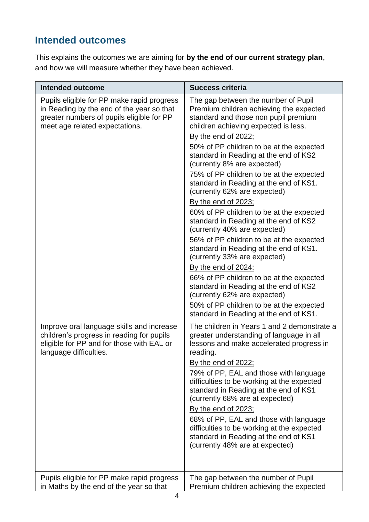# **Intended outcomes**

This explains the outcomes we are aiming for **by the end of our current strategy plan**, and how we will measure whether they have been achieved.

| <b>Intended outcome</b>                                                                                                                                                | <b>Success criteria</b>                                                                                                                                                                                                                                                                                                                                                                                                                                                                                                                                                                                                                                                                                                                                                                                                                                                                                                                |
|------------------------------------------------------------------------------------------------------------------------------------------------------------------------|----------------------------------------------------------------------------------------------------------------------------------------------------------------------------------------------------------------------------------------------------------------------------------------------------------------------------------------------------------------------------------------------------------------------------------------------------------------------------------------------------------------------------------------------------------------------------------------------------------------------------------------------------------------------------------------------------------------------------------------------------------------------------------------------------------------------------------------------------------------------------------------------------------------------------------------|
| Pupils eligible for PP make rapid progress<br>in Reading by the end of the year so that<br>greater numbers of pupils eligible for PP<br>meet age related expectations. | The gap between the number of Pupil<br>Premium children achieving the expected<br>standard and those non pupil premium<br>children achieving expected is less.<br>By the end of 2022;<br>50% of PP children to be at the expected<br>standard in Reading at the end of KS2<br>(currently 8% are expected)<br>75% of PP children to be at the expected<br>standard in Reading at the end of KS1.<br>(currently 62% are expected)<br>By the end of 2023;<br>60% of PP children to be at the expected<br>standard in Reading at the end of KS2<br>(currently 40% are expected)<br>56% of PP children to be at the expected<br>standard in Reading at the end of KS1.<br>(currently 33% are expected)<br>By the end of $2024$ ;<br>66% of PP children to be at the expected<br>standard in Reading at the end of KS2<br>(currently 62% are expected)<br>50% of PP children to be at the expected<br>standard in Reading at the end of KS1. |
| Improve oral language skills and increase<br>children's progress in reading for pupils<br>eligible for PP and for those with EAL or<br>language difficulties.          | The children in Years 1 and 2 demonstrate a<br>greater understanding of language in all<br>lessons and make accelerated progress in<br>reading.<br><u>By the end of 2022;</u><br>79% of PP, EAL and those with language<br>difficulties to be working at the expected<br>standard in Reading at the end of KS1<br>(currently 68% are at expected)<br><u>By the end of 2023;</u><br>68% of PP, EAL and those with language<br>difficulties to be working at the expected<br>standard in Reading at the end of KS1<br>(currently 48% are at expected)                                                                                                                                                                                                                                                                                                                                                                                    |
| Pupils eligible for PP make rapid progress<br>in Maths by the end of the year so that                                                                                  | The gap between the number of Pupil<br>Premium children achieving the expected                                                                                                                                                                                                                                                                                                                                                                                                                                                                                                                                                                                                                                                                                                                                                                                                                                                         |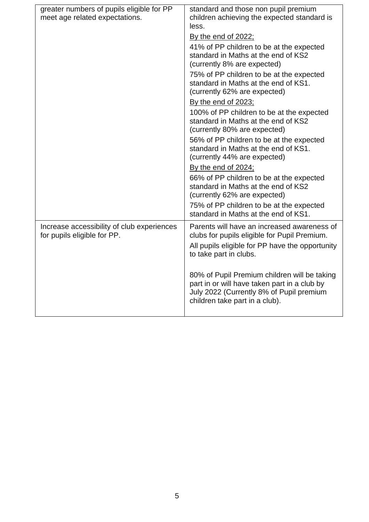| greater numbers of pupils eligible for PP<br>meet age related expectations. | standard and those non pupil premium<br>children achieving the expected standard is<br>less.                                                                               |
|-----------------------------------------------------------------------------|----------------------------------------------------------------------------------------------------------------------------------------------------------------------------|
|                                                                             | <u>By the end of 2022;</u>                                                                                                                                                 |
|                                                                             | 41% of PP children to be at the expected<br>standard in Maths at the end of KS2<br>(currently 8% are expected)                                                             |
|                                                                             | 75% of PP children to be at the expected<br>standard in Maths at the end of KS1.<br>(currently 62% are expected)                                                           |
|                                                                             | By the end of 2023;                                                                                                                                                        |
|                                                                             | 100% of PP children to be at the expected<br>standard in Maths at the end of KS2<br>(currently 80% are expected)                                                           |
|                                                                             | 56% of PP children to be at the expected<br>standard in Maths at the end of KS1.<br>(currently 44% are expected)                                                           |
|                                                                             | By the end of 2024;                                                                                                                                                        |
|                                                                             | 66% of PP children to be at the expected<br>standard in Maths at the end of KS2<br>(currently 62% are expected)                                                            |
|                                                                             | 75% of PP children to be at the expected<br>standard in Maths at the end of KS1.                                                                                           |
| Increase accessibility of club experiences<br>for pupils eligible for PP.   | Parents will have an increased awareness of<br>clubs for pupils eligible for Pupil Premium.                                                                                |
|                                                                             | All pupils eligible for PP have the opportunity<br>to take part in clubs.                                                                                                  |
|                                                                             | 80% of Pupil Premium children will be taking<br>part in or will have taken part in a club by<br>July 2022 (Currently 8% of Pupil premium<br>children take part in a club). |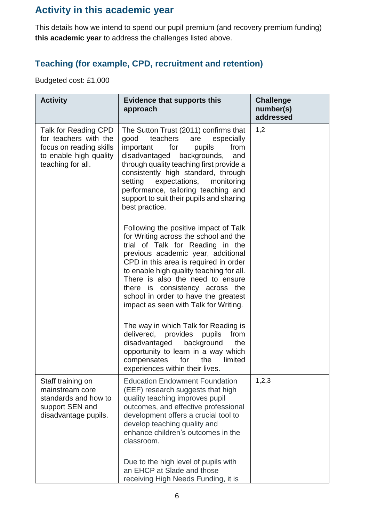## **Activity in this academic year**

This details how we intend to spend our pupil premium (and recovery premium funding) **this academic year** to address the challenges listed above.

#### **Teaching (for example, CPD, recruitment and retention)**

Budgeted cost: £1,000

| <b>Activity</b>                                                                                                         | <b>Evidence that supports this</b><br>approach                                                                                                                                                                                                                                                                                                                                                        | <b>Challenge</b><br>number(s)<br>addressed |
|-------------------------------------------------------------------------------------------------------------------------|-------------------------------------------------------------------------------------------------------------------------------------------------------------------------------------------------------------------------------------------------------------------------------------------------------------------------------------------------------------------------------------------------------|--------------------------------------------|
| Talk for Reading CPD<br>for teachers with the<br>focus on reading skills<br>to enable high quality<br>teaching for all. | The Sutton Trust (2011) confirms that<br>good<br>teachers<br>especially<br>are<br>important<br>for<br>from<br>pupils<br>disadvantaged backgrounds,<br>and<br>through quality teaching first provide a<br>consistently high standard, through<br>setting<br>expectations,<br>monitoring<br>performance, tailoring teaching and<br>support to suit their pupils and sharing<br>best practice.           | 1,2                                        |
|                                                                                                                         | Following the positive impact of Talk<br>for Writing across the school and the<br>trial of Talk for Reading in the<br>previous academic year, additional<br>CPD in this area is required in order<br>to enable high quality teaching for all.<br>There is also the need to ensure<br>there is consistency across the<br>school in order to have the greatest<br>impact as seen with Talk for Writing. |                                            |
|                                                                                                                         | The way in which Talk for Reading is<br>delivered, provides pupils<br>from<br>disadvantaged<br>background<br>the<br>opportunity to learn in a way which<br>for<br>compensates<br>the<br>limited<br>experiences within their lives.                                                                                                                                                                    |                                            |
| Staff training on<br>mainstream core<br>standards and how to<br>support SEN and<br>disadvantage pupils.                 | <b>Education Endowment Foundation</b><br>(EEF) research suggests that high<br>quality teaching improves pupil<br>outcomes, and effective professional<br>development offers a crucial tool to<br>develop teaching quality and<br>enhance children's outcomes in the<br>classroom.                                                                                                                     | 1,2,3                                      |
|                                                                                                                         | Due to the high level of pupils with<br>an EHCP at Slade and those<br>receiving High Needs Funding, it is                                                                                                                                                                                                                                                                                             |                                            |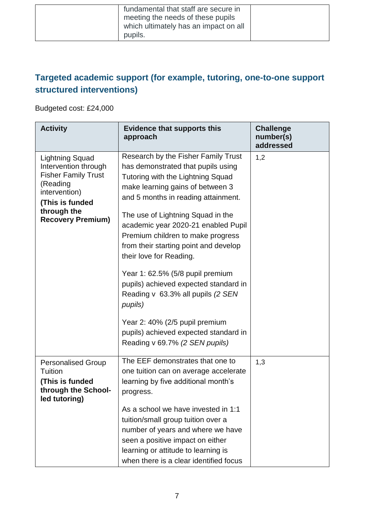| fundamental that staff are secure in<br>meeting the needs of these pupils |  |
|---------------------------------------------------------------------------|--|
| which ultimately has an impact on all<br>pupils.                          |  |

### **Targeted academic support (for example, tutoring, one-to-one support structured interventions)**

Budgeted cost: £24,000

| <b>Activity</b>                                                                                                                                                         | <b>Evidence that supports this</b><br>approach                                                                                                                                                                                                                                                                                                                                                                                                                                                                                                                                         | <b>Challenge</b><br>number(s)<br>addressed |
|-------------------------------------------------------------------------------------------------------------------------------------------------------------------------|----------------------------------------------------------------------------------------------------------------------------------------------------------------------------------------------------------------------------------------------------------------------------------------------------------------------------------------------------------------------------------------------------------------------------------------------------------------------------------------------------------------------------------------------------------------------------------------|--------------------------------------------|
| <b>Lightning Squad</b><br>Intervention through<br><b>Fisher Family Trust</b><br>(Reading<br>intervention)<br>(This is funded<br>through the<br><b>Recovery Premium)</b> | Research by the Fisher Family Trust<br>has demonstrated that pupils using<br>Tutoring with the Lightning Squad<br>make learning gains of between 3<br>and 5 months in reading attainment.<br>The use of Lightning Squad in the<br>academic year 2020-21 enabled Pupil<br>Premium children to make progress<br>from their starting point and develop<br>their love for Reading.<br>Year 1: 62.5% (5/8 pupil premium<br>pupils) achieved expected standard in<br>Reading v 63.3% all pupils (2 SEN<br>pupils)<br>Year 2: 40% (2/5 pupil premium<br>pupils) achieved expected standard in | 1,2                                        |
|                                                                                                                                                                         | Reading v 69.7% (2 SEN pupils)                                                                                                                                                                                                                                                                                                                                                                                                                                                                                                                                                         |                                            |
| <b>Personalised Group</b><br>Tuition<br>(This is funded<br>through the School-<br>led tutoring)                                                                         | The EEF demonstrates that one to<br>one tuition can on average accelerate<br>learning by five additional month's<br>progress.<br>As a school we have invested in 1:1                                                                                                                                                                                                                                                                                                                                                                                                                   | 1,3                                        |
|                                                                                                                                                                         | tuition/small group tuition over a<br>number of years and where we have<br>seen a positive impact on either<br>learning or attitude to learning is<br>when there is a clear identified focus                                                                                                                                                                                                                                                                                                                                                                                           |                                            |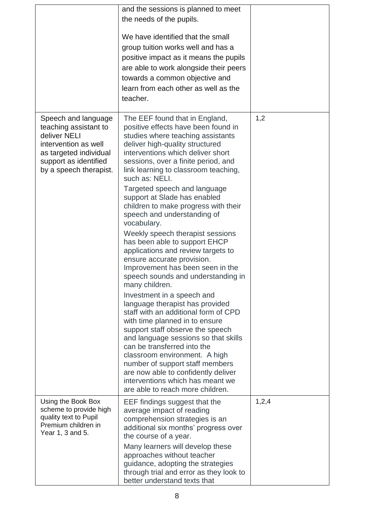|                                                                                                                                                                   | and the sessions is planned to meet<br>the needs of the pupils.<br>We have identified that the small<br>group tuition works well and has a<br>positive impact as it means the pupils<br>are able to work alongside their peers<br>towards a common objective and<br>learn from each other as well as the<br>teacher.                                                                                                                                                                                                                                                                                                                                                                                                                                                                                                                                                                                                                                                                                                                                                                                                    |       |
|-------------------------------------------------------------------------------------------------------------------------------------------------------------------|-------------------------------------------------------------------------------------------------------------------------------------------------------------------------------------------------------------------------------------------------------------------------------------------------------------------------------------------------------------------------------------------------------------------------------------------------------------------------------------------------------------------------------------------------------------------------------------------------------------------------------------------------------------------------------------------------------------------------------------------------------------------------------------------------------------------------------------------------------------------------------------------------------------------------------------------------------------------------------------------------------------------------------------------------------------------------------------------------------------------------|-------|
| Speech and language<br>teaching assistant to<br>deliver NELI<br>intervention as well<br>as targeted individual<br>support as identified<br>by a speech therapist. | The EEF found that in England,<br>positive effects have been found in<br>studies where teaching assistants<br>deliver high-quality structured<br>interventions which deliver short<br>sessions, over a finite period, and<br>link learning to classroom teaching,<br>such as: NELI.<br>Targeted speech and language<br>support at Slade has enabled<br>children to make progress with their<br>speech and understanding of<br>vocabulary.<br>Weekly speech therapist sessions<br>has been able to support EHCP<br>applications and review targets to<br>ensure accurate provision.<br>Improvement has been seen in the<br>speech sounds and understanding in<br>many children.<br>Investment in a speech and<br>language therapist has provided<br>staff with an additional form of CPD<br>with time planned in to ensure<br>support staff observe the speech<br>and language sessions so that skills<br>can be transferred into the<br>classroom environment. A high<br>number of support staff members<br>are now able to confidently deliver<br>interventions which has meant we<br>are able to reach more children. | 1,2   |
| Using the Book Box<br>scheme to provide high<br>quality text to Pupil<br>Premium children in<br>Year 1, 3 and 5.                                                  | EEF findings suggest that the<br>average impact of reading<br>comprehension strategies is an<br>additional six months' progress over<br>the course of a year.<br>Many learners will develop these<br>approaches without teacher<br>guidance, adopting the strategies<br>through trial and error as they look to                                                                                                                                                                                                                                                                                                                                                                                                                                                                                                                                                                                                                                                                                                                                                                                                         | 1,2,4 |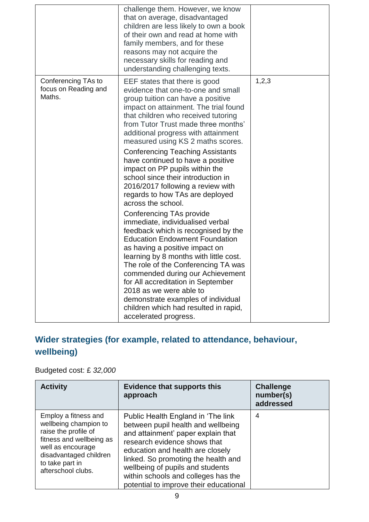|                                                       | challenge them. However, we know<br>that on average, disadvantaged<br>children are less likely to own a book<br>of their own and read at home with<br>family members, and for these<br>reasons may not acquire the<br>necessary skills for reading and<br>understanding challenging texts.                                                                                                                                                                                   |       |
|-------------------------------------------------------|------------------------------------------------------------------------------------------------------------------------------------------------------------------------------------------------------------------------------------------------------------------------------------------------------------------------------------------------------------------------------------------------------------------------------------------------------------------------------|-------|
| Conferencing TAs to<br>focus on Reading and<br>Maths. | EEF states that there is good<br>evidence that one-to-one and small<br>group tuition can have a positive<br>impact on attainment. The trial found<br>that children who received tutoring<br>from Tutor Trust made three months'<br>additional progress with attainment<br>measured using KS 2 maths scores.                                                                                                                                                                  | 1,2,3 |
|                                                       | <b>Conferencing Teaching Assistants</b><br>have continued to have a positive<br>impact on PP pupils within the<br>school since their introduction in<br>2016/2017 following a review with<br>regards to how TAs are deployed<br>across the school.                                                                                                                                                                                                                           |       |
|                                                       | Conferencing TAs provide<br>immediate, individualised verbal<br>feedback which is recognised by the<br><b>Education Endowment Foundation</b><br>as having a positive impact on<br>learning by 8 months with little cost.<br>The role of the Conferencing TA was<br>commended during our Achievement<br>for All accreditation in September<br>2018 as we were able to<br>demonstrate examples of individual<br>children which had resulted in rapid,<br>accelerated progress. |       |

## **Wider strategies (for example, related to attendance, behaviour, wellbeing)**

#### Budgeted cost: £ *32,000*

| <b>Activity</b>                                                                                                                                                                           | <b>Evidence that supports this</b><br>approach                                                                                                                                                                                                                                                                                                 | <b>Challenge</b><br>number(s)<br>addressed |
|-------------------------------------------------------------------------------------------------------------------------------------------------------------------------------------------|------------------------------------------------------------------------------------------------------------------------------------------------------------------------------------------------------------------------------------------------------------------------------------------------------------------------------------------------|--------------------------------------------|
| Employ a fitness and<br>wellbeing champion to<br>raise the profile of<br>fitness and wellbeing as<br>well as encourage<br>disadvantaged children<br>to take part in<br>afterschool clubs. | Public Health England in 'The link<br>between pupil health and wellbeing<br>and attainment' paper explain that<br>research evidence shows that<br>education and health are closely<br>linked. So promoting the health and<br>wellbeing of pupils and students<br>within schools and colleges has the<br>potential to improve their educational | 4                                          |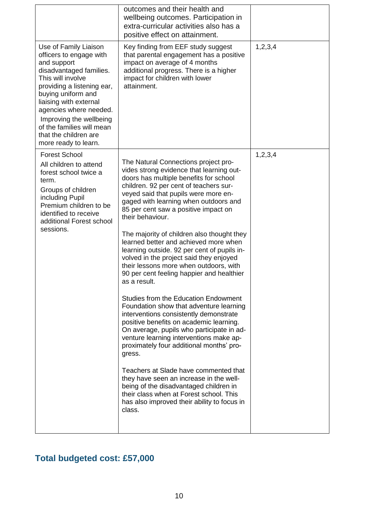|                                                                                                                                                                                                                                                                                                                                  | outcomes and their health and<br>wellbeing outcomes. Participation in<br>extra-curricular activities also has a<br>positive effect on attainment.                                                                                                                                                                                                                                                                                                                                                                                                                                                                                                                                                                                                                                                                                                                                                                                                                                                                                                                                                                                                                 |            |
|----------------------------------------------------------------------------------------------------------------------------------------------------------------------------------------------------------------------------------------------------------------------------------------------------------------------------------|-------------------------------------------------------------------------------------------------------------------------------------------------------------------------------------------------------------------------------------------------------------------------------------------------------------------------------------------------------------------------------------------------------------------------------------------------------------------------------------------------------------------------------------------------------------------------------------------------------------------------------------------------------------------------------------------------------------------------------------------------------------------------------------------------------------------------------------------------------------------------------------------------------------------------------------------------------------------------------------------------------------------------------------------------------------------------------------------------------------------------------------------------------------------|------------|
| Use of Family Liaison<br>officers to engage with<br>and support<br>disadvantaged families.<br>This will involve<br>providing a listening ear,<br>buying uniform and<br>liaising with external<br>agencies where needed.<br>Improving the wellbeing<br>of the families will mean<br>that the children are<br>more ready to learn. | Key finding from EEF study suggest<br>that parental engagement has a positive<br>impact on average of 4 months<br>additional progress. There is a higher<br>impact for children with lower<br>attainment.                                                                                                                                                                                                                                                                                                                                                                                                                                                                                                                                                                                                                                                                                                                                                                                                                                                                                                                                                         | 1, 2, 3, 4 |
| <b>Forest School</b><br>All children to attend<br>forest school twice a<br>term.<br>Groups of children<br>including Pupil<br>Premium children to be<br>identified to receive<br>additional Forest school<br>sessions.                                                                                                            | The Natural Connections project pro-<br>vides strong evidence that learning out-<br>doors has multiple benefits for school<br>children. 92 per cent of teachers sur-<br>veyed said that pupils were more en-<br>gaged with learning when outdoors and<br>85 per cent saw a positive impact on<br>their behaviour.<br>The majority of children also thought they<br>learned better and achieved more when<br>learning outside. 92 per cent of pupils in-<br>volved in the project said they enjoyed<br>their lessons more when outdoors, with<br>90 per cent feeling happier and healthier<br>as a result.<br>Studies from the Education Endowment<br>Foundation show that adventure learning<br>interventions consistently demonstrate<br>positive benefits on academic learning.<br>On average, pupils who participate in ad-<br>venture learning interventions make ap-<br>proximately four additional months' pro-<br>gress.<br>Teachers at Slade have commented that<br>they have seen an increase in the well-<br>being of the disadvantaged children in<br>their class when at Forest school. This<br>has also improved their ability to focus in<br>class. | 1,2,3,4    |

## **Total budgeted cost: £57,000**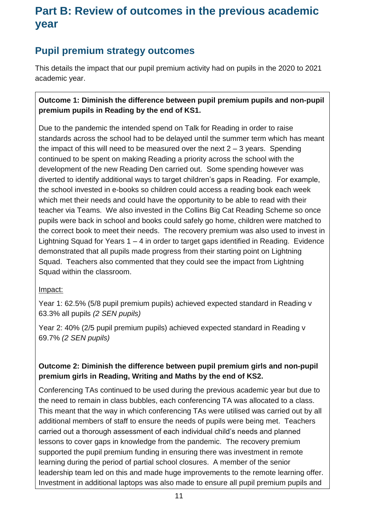# **Part B: Review of outcomes in the previous academic year**

## **Pupil premium strategy outcomes**

This details the impact that our pupil premium activity had on pupils in the 2020 to 2021 academic year.

#### **Outcome 1: Diminish the difference between pupil premium pupils and non-pupil premium pupils in Reading by the end of KS1.**

Due to the pandemic the intended spend on Talk for Reading in order to raise standards across the school had to be delayed until the summer term which has meant the impact of this will need to be measured over the next  $2 - 3$  years. Spending continued to be spent on making Reading a priority across the school with the development of the new Reading Den carried out. Some spending however was diverted to identify additional ways to target children's gaps in Reading. For example, the school invested in e-books so children could access a reading book each week which met their needs and could have the opportunity to be able to read with their teacher via Teams. We also invested in the Collins Big Cat Reading Scheme so once pupils were back in school and books could safely go home, children were matched to the correct book to meet their needs. The recovery premium was also used to invest in Lightning Squad for Years 1 – 4 in order to target gaps identified in Reading. Evidence demonstrated that all pupils made progress from their starting point on Lightning Squad. Teachers also commented that they could see the impact from Lightning Squad within the classroom.

#### Impact:

Year 1: 62.5% (5/8 pupil premium pupils) achieved expected standard in Reading v 63.3% all pupils *(2 SEN pupils)*

Year 2: 40% (2/5 pupil premium pupils) achieved expected standard in Reading v 69.7% *(2 SEN pupils)*

#### **Outcome 2: Diminish the difference between pupil premium girls and non-pupil premium girls in Reading, Writing and Maths by the end of KS2.**

Conferencing TAs continued to be used during the previous academic year but due to the need to remain in class bubbles, each conferencing TA was allocated to a class. This meant that the way in which conferencing TAs were utilised was carried out by all additional members of staff to ensure the needs of pupils were being met. Teachers carried out a thorough assessment of each individual child's needs and planned lessons to cover gaps in knowledge from the pandemic. The recovery premium supported the pupil premium funding in ensuring there was investment in remote learning during the period of partial school closures. A member of the senior leadership team led on this and made huge improvements to the remote learning offer. Investment in additional laptops was also made to ensure all pupil premium pupils and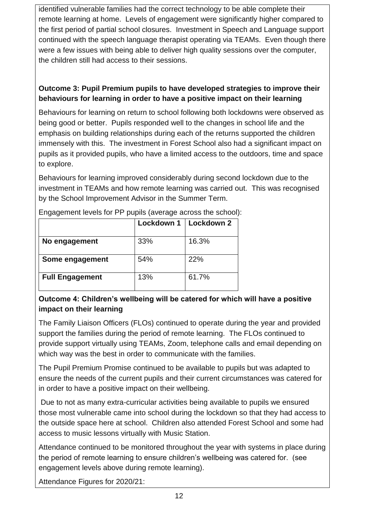identified vulnerable families had the correct technology to be able complete their remote learning at home. Levels of engagement were significantly higher compared to the first period of partial school closures. Investment in Speech and Language support continued with the speech language therapist operating via TEAMs. Even though there were a few issues with being able to deliver high quality sessions over the computer, the children still had access to their sessions.

#### **Outcome 3: Pupil Premium pupils to have developed strategies to improve their behaviours for learning in order to have a positive impact on their learning**

Behaviours for learning on return to school following both lockdowns were observed as being good or better. Pupils responded well to the changes in school life and the emphasis on building relationships during each of the returns supported the children immensely with this. The investment in Forest School also had a significant impact on pupils as it provided pupils, who have a limited access to the outdoors, time and space to explore.

Behaviours for learning improved considerably during second lockdown due to the investment in TEAMs and how remote learning was carried out. This was recognised by the School Improvement Advisor in the Summer Term.

|                        |     | Lockdown 1   Lockdown 2 |
|------------------------|-----|-------------------------|
| No engagement          | 33% | 16.3%                   |
| Some engagement        | 54% | 22%                     |
| <b>Full Engagement</b> | 13% | 61.7%                   |

Engagement levels for PP pupils (average across the school):

#### **Outcome 4: Children's wellbeing will be catered for which will have a positive impact on their learning**

The Family Liaison Officers (FLOs) continued to operate during the year and provided support the families during the period of remote learning. The FLOs continued to provide support virtually using TEAMs, Zoom, telephone calls and email depending on which way was the best in order to communicate with the families.

The Pupil Premium Promise continued to be available to pupils but was adapted to ensure the needs of the current pupils and their current circumstances was catered for in order to have a positive impact on their wellbeing.

Due to not as many extra-curricular activities being available to pupils we ensured those most vulnerable came into school during the lockdown so that they had access to the outside space here at school. Children also attended Forest School and some had access to music lessons virtually with Music Station.

Attendance continued to be monitored throughout the year with systems in place during the period of remote learning to ensure children's wellbeing was catered for. (see engagement levels above during remote learning).

Attendance Figures for 2020/21: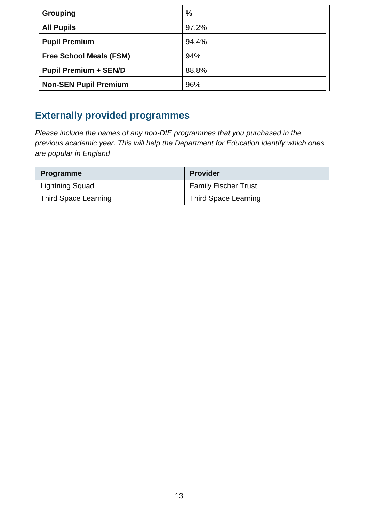| <b>Grouping</b>                | $\frac{0}{0}$ |
|--------------------------------|---------------|
| <b>All Pupils</b>              | 97.2%         |
| <b>Pupil Premium</b>           | 94.4%         |
| <b>Free School Meals (FSM)</b> | 94%           |
| <b>Pupil Premium + SEN/D</b>   | 88.8%         |
| <b>Non-SEN Pupil Premium</b>   | 96%           |

## **Externally provided programmes**

*Please include the names of any non-DfE programmes that you purchased in the previous academic year. This will help the Department for Education identify which ones are popular in England*

| <b>Programme</b>       | <b>Provider</b>             |
|------------------------|-----------------------------|
| <b>Lightning Squad</b> | <b>Family Fischer Trust</b> |
| Third Space Learning   | Third Space Learning        |